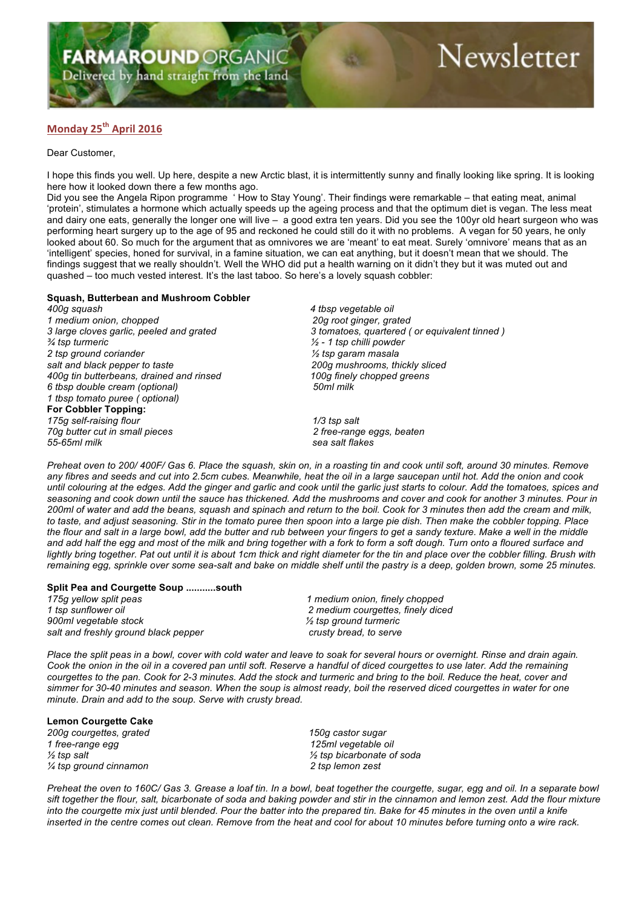Delivered by hand straight from the land

# Newsletter

## **Monday 25th April 2016**

Dear Customer,

I hope this finds you well. Up here, despite a new Arctic blast, it is intermittently sunny and finally looking like spring. It is looking here how it looked down there a few months ago.

Did you see the Angela Ripon programme ' How to Stay Young'. Their findings were remarkable – that eating meat, animal 'protein', stimulates a hormone which actually speeds up the ageing process and that the optimum diet is vegan. The less meat and dairy one eats, generally the longer one will live – a good extra ten years. Did you see the 100yr old heart surgeon who was performing heart surgery up to the age of 95 and reckoned he could still do it with no problems. A vegan for 50 years, he only looked about 60. So much for the argument that as omnivores we are 'meant' to eat meat. Surely 'omnivore' means that as an 'intelligent' species, honed for survival, in a famine situation, we can eat anything, but it doesn't mean that we should. The findings suggest that we really shouldn't. Well the WHO did put a health warning on it didn't they but it was muted out and quashed – too much vested interest. It's the last taboo. So here's a lovely squash cobbler:

#### **Squash, Butterbean and Mushroom Cobbler**

*400g squash 4 tbsp vegetable oil 1 medium onion, chopped 20g root ginger, grated ¾ tsp turmeric ½ - 1 tsp chilli powder 2 tsp ground coriander ½ tsp garam masala salt and black pepper to taste 200g mushrooms, thickly sliced 400g tin butterbeans, drained and rinsed 100g finely chopped greens 6 tbsp double cream (optional) 50ml milk 1 tbsp tomato puree ( optional)* **For Cobbler Topping:** *175g self-raising flour 1/3 tsp salt 70g butter cut in small pieces 2 free-range eggs, beaten*

*3 large cloves garlic, peeled and grated 3 tomatoes, quartered ( or equivalent tinned )*

*55-65ml milk sea salt flakes*

*Preheat oven to 200/ 400F/ Gas 6. Place the squash, skin on, in a roasting tin and cook until soft, around 30 minutes. Remove any fibres and seeds and cut into 2.5cm cubes. Meanwhile, heat the oil in a large saucepan until hot. Add the onion and cook until colouring at the edges. Add the ginger and garlic and cook until the garlic just starts to colour. Add the tomatoes, spices and seasoning and cook down until the sauce has thickened. Add the mushrooms and cover and cook for another 3 minutes. Pour in 200ml of water and add the beans, squash and spinach and return to the boil. Cook for 3 minutes then add the cream and milk, to taste, and adjust seasoning. Stir in the tomato puree then spoon into a large pie dish. Then make the cobbler topping. Place the flour and salt in a large bowl, add the butter and rub between your fingers to get a sandy texture. Make a well in the middle and add half the egg and most of the milk and bring together with a fork to form a soft dough. Turn onto a floured surface and*  lightly bring together. Pat out until it is about 1cm thick and right diameter for the tin and place over the cobbler filling. Brush with *remaining egg, sprinkle over some sea-salt and bake on middle shelf until the pastry is a deep, golden brown, some 25 minutes.*

### **Split Pea and Courgette Soup ...........south**

*1 tsp sunflower oil 2 medium courgettes, finely diced 900ml vegetable stock ½ tsp ground turmeric salt and freshly ground black pepper crusty bread, to serve*

*175g yellow split peas 1 medium onion, finely chopped*

*Place the split peas in a bowl, cover with cold water and leave to soak for several hours or overnight. Rinse and drain again. Cook the onion in the oil in a covered pan until soft. Reserve a handful of diced courgettes to use later. Add the remaining courgettes to the pan. Cook for 2-3 minutes. Add the stock and turmeric and bring to the boil. Reduce the heat, cover and simmer for 30-40 minutes and season. When the soup is almost ready, boil the reserved diced courgettes in water for one minute. Drain and add to the soup. Serve with crusty bread.*

#### **Lemon Courgette Cake**

*200g courgettes, grated 150g castor sugar 1 free-range egg 125ml vegetable oil ¼ tsp ground cinnamon 2 tsp lemon zest*

*½ tsp salt ½ tsp bicarbonate of soda*

*Preheat the oven to 160C/ Gas 3. Grease a loaf tin. In a bowl, beat together the courgette, sugar, egg and oil. In a separate bowl sift together the flour, salt, bicarbonate of soda and baking powder and stir in the cinnamon and lemon zest. Add the flour mixture into the courgette mix just until blended. Pour the batter into the prepared tin. Bake for 45 minutes in the oven until a knife inserted in the centre comes out clean. Remove from the heat and cool for about 10 minutes before turning onto a wire rack.*